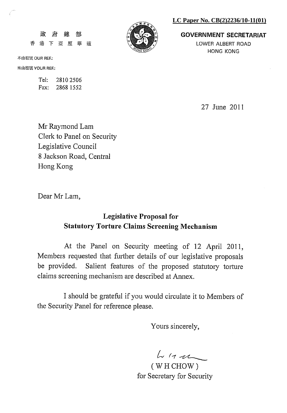#### LC Paper No. CB(2)2236/10-11(01)



**GOVERNMENT SECRETARIAT** LOWER ALBERT ROAD

**HONG KONG** 

本函檔號 OUR REF.:

香

政府

來函檔號 YOUR REF.:

Tel: 2810 2506 Fax: 2868 1552

緛

港下亞厘畢道

部

27 June 2011

Mr Raymond Lam Clerk to Panel on Security Legislative Council 8 Jackson Road, Central Hong Kong

Dear Mr Lam,

# **Legislative Proposal for Statutory Torture Claims Screening Mechanism**

At the Panel on Security meeting of 12 April 2011, Members requested that further details of our legislative proposals be provided. Salient features of the proposed statutory torture claims screening mechanism are described at Annex.

I should be grateful if you would circulate it to Members of the Security Panel for reference please.

Yours sincerely,

 $444$ 

(WHCHOW) for Secretary for Security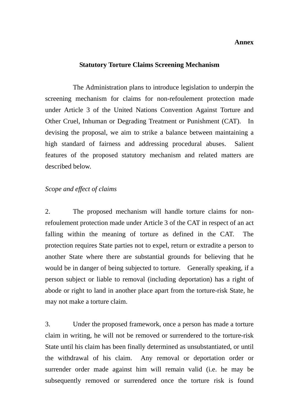#### **Annex**

#### **Statutory Torture Claims Screening Mechanism**

 The Administration plans to introduce legislation to underpin the screening mechanism for claims for non-refoulement protection made under Article 3 of the United Nations Convention Against Torture and Other Cruel, Inhuman or Degrading Treatment or Punishment (CAT). In devising the proposal, we aim to strike a balance between maintaining a high standard of fairness and addressing procedural abuses. Salient features of the proposed statutory mechanism and related matters are described below.

#### *Scope and effect of claims*

2. The proposed mechanism will handle torture claims for nonrefoulement protection made under Article 3 of the CAT in respect of an act falling within the meaning of torture as defined in the CAT. The protection requires State parties not to expel, return or extradite a person to another State where there are substantial grounds for believing that he would be in danger of being subjected to torture. Generally speaking, if a person subject or liable to removal (including deportation) has a right of abode or right to land in another place apart from the torture-risk State, he may not make a torture claim.

3. Under the proposed framework, once a person has made a torture claim in writing, he will not be removed or surrendered to the torture-risk State until his claim has been finally determined as unsubstantiated, or until the withdrawal of his claim. Any removal or deportation order or surrender order made against him will remain valid (i.e. he may be subsequently removed or surrendered once the torture risk is found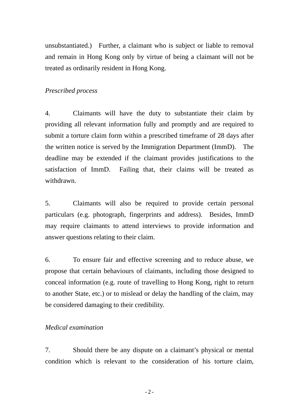unsubstantiated.) Further, a claimant who is subject or liable to removal and remain in Hong Kong only by virtue of being a claimant will not be treated as ordinarily resident in Hong Kong.

## *Prescribed process*

4. Claimants will have the duty to substantiate their claim by providing all relevant information fully and promptly and are required to submit a torture claim form within a prescribed timeframe of 28 days after the written notice is served by the Immigration Department (ImmD). The deadline may be extended if the claimant provides justifications to the satisfaction of ImmD. Failing that, their claims will be treated as withdrawn.

5. Claimants will also be required to provide certain personal particulars (e.g. photograph, fingerprints and address). Besides, ImmD may require claimants to attend interviews to provide information and answer questions relating to their claim.

6. To ensure fair and effective screening and to reduce abuse, we propose that certain behaviours of claimants, including those designed to conceal information (e.g. route of travelling to Hong Kong, right to return to another State, etc.) or to mislead or delay the handling of the claim, may be considered damaging to their credibility.

## *Medical examination*

7. Should there be any dispute on a claimant's physical or mental condition which is relevant to the consideration of his torture claim,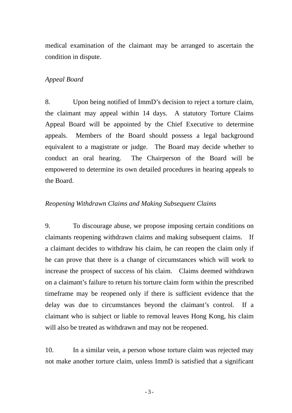medical examination of the claimant may be arranged to ascertain the condition in dispute.

#### *Appeal Board*

8. Upon being notified of ImmD's decision to reject a torture claim, the claimant may appeal within 14 days. A statutory Torture Claims Appeal Board will be appointed by the Chief Executive to determine appeals. Members of the Board should possess a legal background equivalent to a magistrate or judge. The Board may decide whether to conduct an oral hearing. The Chairperson of the Board will be empowered to determine its own detailed procedures in hearing appeals to the Board.

### *Reopening Withdrawn Claims and Making Subsequent Claims*

9. To discourage abuse, we propose imposing certain conditions on claimants reopening withdrawn claims and making subsequent claims. If a claimant decides to withdraw his claim, he can reopen the claim only if he can prove that there is a change of circumstances which will work to increase the prospect of success of his claim. Claims deemed withdrawn on a claimant's failure to return his torture claim form within the prescribed timeframe may be reopened only if there is sufficient evidence that the delay was due to circumstances beyond the claimant's control. If a claimant who is subject or liable to removal leaves Hong Kong, his claim will also be treated as withdrawn and may not be reopened.

10. In a similar vein, a person whose torture claim was rejected may not make another torture claim, unless ImmD is satisfied that a significant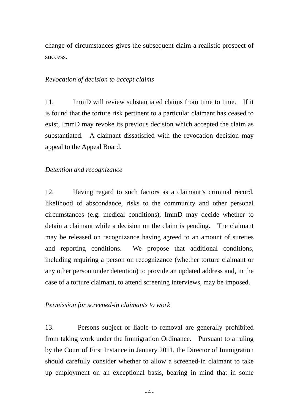change of circumstances gives the subsequent claim a realistic prospect of success.

## *Revocation of decision to accept claims*

11. ImmD will review substantiated claims from time to time. If it is found that the torture risk pertinent to a particular claimant has ceased to exist, ImmD may revoke its previous decision which accepted the claim as substantiated. A claimant dissatisfied with the revocation decision may appeal to the Appeal Board.

## *Detention and recognizance*

12. Having regard to such factors as a claimant's criminal record, likelihood of abscondance, risks to the community and other personal circumstances (e.g. medical conditions), ImmD may decide whether to detain a claimant while a decision on the claim is pending. The claimant may be released on recognizance having agreed to an amount of sureties and reporting conditions. We propose that additional conditions, including requiring a person on recognizance (whether torture claimant or any other person under detention) to provide an updated address and, in the case of a torture claimant, to attend screening interviews, may be imposed.

#### *Permission for screened-in claimants to work*

13. Persons subject or liable to removal are generally prohibited from taking work under the Immigration Ordinance. Pursuant to a ruling by the Court of First Instance in January 2011, the Director of Immigration should carefully consider whether to allow a screened-in claimant to take up employment on an exceptional basis, bearing in mind that in some